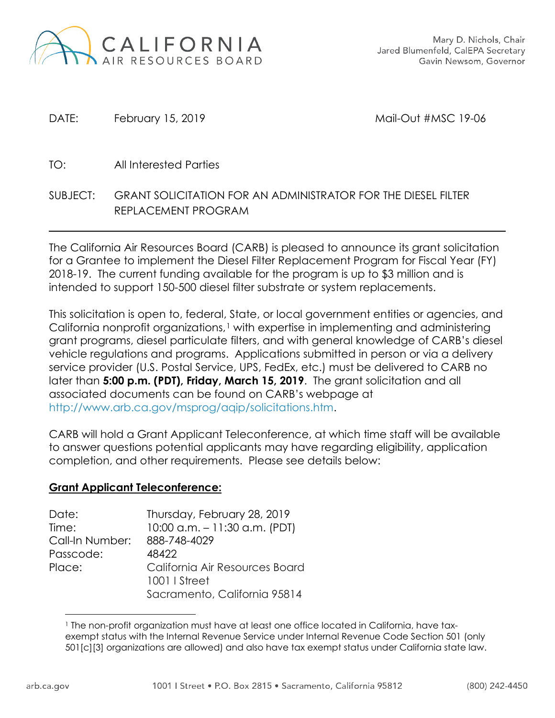

DATE: February 15, 2019 Mail-Out #MSC 19-06

- TO: All Interested Parties
- SUBJECT: GRANT SOLICITATION FOR AN ADMINISTRATOR FOR THE DIESEL FILTER REPLACEMENT PROGRAM

The California Air Resources Board (CARB) is pleased to announce its grant solicitation for a Grantee to implement the Diesel Filter Replacement Program for Fiscal Year (FY) 2018-19. The current funding available for the program is up to \$3 million and is intended to support 150-500 diesel filter substrate or system replacements.

This solicitation is open to, federal, State, or local government entities or agencies, and California nonprofit organizations,<sup>[1](#page-0-0)</sup> with expertise in implementing and administering grant programs, diesel particulate filters, and with general knowledge of CARB's diesel vehicle regulations and programs. Applications submitted in person or via a delivery service provider (U.S. Postal Service, UPS, FedEx, etc.) must be delivered to CARB no later than **5:00 p.m. (PDT), Friday, March 15, 2019**. The grant solicitation and all associated documents can be found on CARB's webpage at [http://www.arb.ca.gov/msprog/aqip/solicitations.htm.](http://www.arb.ca.gov/msprog/aqip/solicitations.htm)

CARB will hold a Grant Applicant Teleconference, at which time staff will be available to answer questions potential applicants may have regarding eligibility, application completion, and other requirements. Please see details below:

## **Grant Applicant Teleconference:**

| Date:           | Thursday, February 28, 2019    |
|-----------------|--------------------------------|
| Time:           | 10:00 a.m. $-11:30$ a.m. (PDT) |
| Call-In Number: | 888-748-4029                   |
| Passcode:       | 48422                          |
| Place:          | California Air Resources Board |
|                 | 1001   Street                  |
|                 | Sacramento, California 95814   |

<span id="page-0-0"></span> $\overline{a}$ <sup>1</sup> The non-profit organization must have at least one office located in California, have taxexempt status with the Internal Revenue Service under Internal Revenue Code Section 501 (only 501[c][3] organizations are allowed) and also have tax exempt status under California state law.

 $\overline{a}$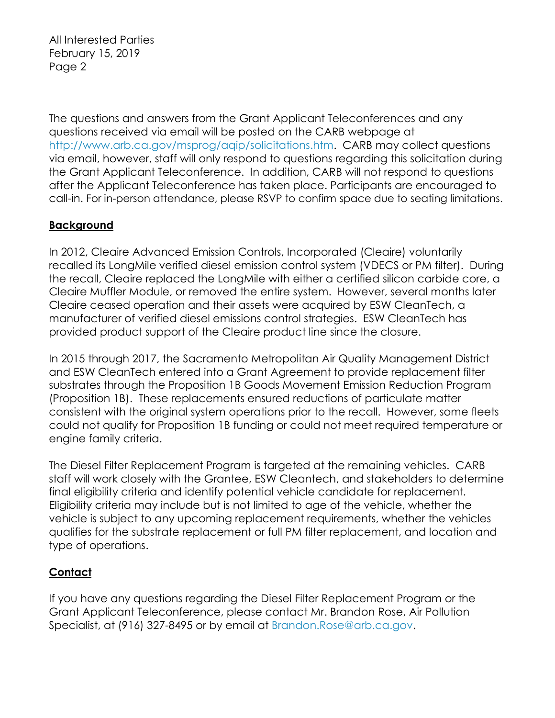All Interested Parties February 15, 2019 Page 2

The questions and answers from the Grant Applicant Teleconferences and any questions received via email will be posted on the CARB webpage at [http://www.arb.ca.gov/msprog/aqip/solicitations.htm.](http://www.arb.ca.gov/msprog/aqip/solicitations.htm) CARB may collect questions via email, however, staff will only respond to questions regarding this solicitation during the Grant Applicant Teleconference. In addition, CARB will not respond to questions after the Applicant Teleconference has taken place. Participants are encouraged to call-in. For in-person attendance, please RSVP to confirm space due to seating limitations.

## **Background**

In 2012, Cleaire Advanced Emission Controls, Incorporated (Cleaire) voluntarily recalled its LongMile verified diesel emission control system (VDECS or PM filter). During the recall, Cleaire replaced the LongMile with either a certified silicon carbide core, a Cleaire Muffler Module, or removed the entire system. However, several months later Cleaire ceased operation and their assets were acquired by ESW CleanTech, a manufacturer of verified diesel emissions control strategies. ESW CleanTech has provided product support of the Cleaire product line since the closure.

In 2015 through 2017, the Sacramento Metropolitan Air Quality Management District and ESW CleanTech entered into a Grant Agreement to provide replacement filter substrates through the Proposition 1B Goods Movement Emission Reduction Program (Proposition 1B). These replacements ensured reductions of particulate matter consistent with the original system operations prior to the recall. However, some fleets could not qualify for Proposition 1B funding or could not meet required temperature or engine family criteria.

The Diesel Filter Replacement Program is targeted at the remaining vehicles. CARB staff will work closely with the Grantee, ESW Cleantech, and stakeholders to determine final eligibility criteria and identify potential vehicle candidate for replacement. Eligibility criteria may include but is not limited to age of the vehicle, whether the vehicle is subject to any upcoming replacement requirements, whether the vehicles qualifies for the substrate replacement or full PM filter replacement, and location and type of operations.

## **Contact**

If you have any questions regarding the Diesel Filter Replacement Program or the Grant Applicant Teleconference, please contact Mr. Brandon Rose, Air Pollution Specialist, at (916) 327-8495 or by email at [Brandon.Rose@arb.ca.gov.](mailto:Brandon.Rose@arb.ca.gov)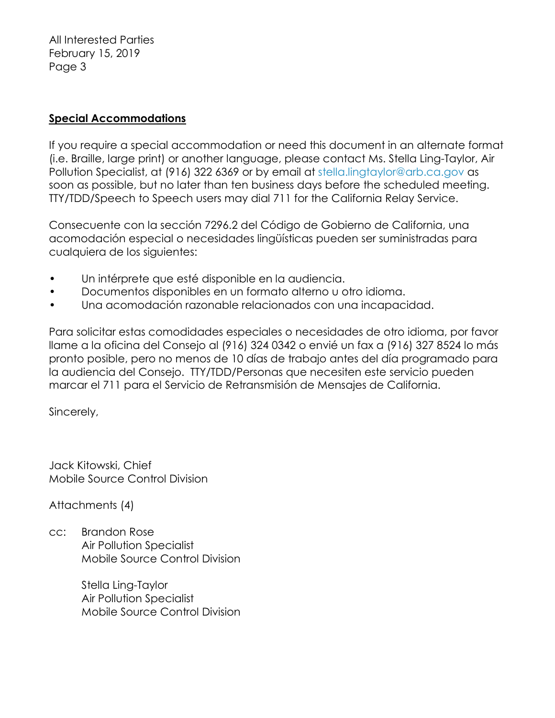All Interested Parties February 15, 2019 Page 3

## **Special Accommodations**

If you require a special accommodation or need this document in an alternate format (i.e. Braille, large print) or another language, please contact Ms. Stella Ling-Taylor, Air Pollution Specialist, at (916) 322 6369 or by email at [stella.lingtaylor@arb.ca.gov](mailto:stella.lingtaylor@arb.ca.gov) as soon as possible, but no later than ten business days before the scheduled meeting. TTY/TDD/Speech to Speech users may dial 711 for the California Relay Service.

Consecuente con la sección 7296.2 del Código de Gobierno de California, una acomodación especial o necesidades lingüísticas pueden ser suministradas para cualquiera de los siguientes:

- Un intérprete que esté disponible en la audiencia.
- Documentos disponibles en un formato alterno u otro idioma.
- Una acomodación razonable relacionados con una incapacidad.

Para solicitar estas comodidades especiales o necesidades de otro idioma, por favor llame a la oficina del Consejo al (916) 324 0342 o envié un fax a (916) 327 8524 lo más pronto posible, pero no menos de 10 días de trabajo antes del día programado para la audiencia del Consejo. TTY/TDD/Personas que necesiten este servicio pueden marcar el 711 para el Servicio de Retransmisión de Mensajes de California.

Sincerely,

Jack Kitowski, Chief Mobile Source Control Division

Attachments (4)

cc: Brandon Rose Air Pollution Specialist Mobile Source Control Division

> Stella Ling-Taylor Air Pollution Specialist Mobile Source Control Division